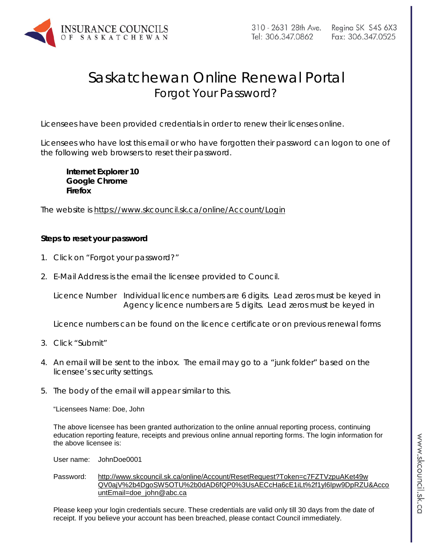

## Saskatchewan Online Renewal Portal Forgot Your Password?

Licensees have been provided credentials in order to renew their licenses online.

Licensees who have lost this email or who have forgotten their password can logon to one of the following web browsers to reset their password.

**Internet Explorer 10 Google Chrome Firefox**

The website is<https://www.skcouncil.sk.ca/online/Account/Login>

## **Steps to reset your password**

- 1. Click on "Forgot your password?"
- 2. E-Mail Address is the email the licensee provided to Council.

Licence Number Individual licence numbers are 6 digits. Lead zeros must be keyed in Agency licence numbers are 5 digits. Lead zeros must be keyed in

Licence numbers can be found on the licence certificate or on previous renewal forms

- 3. Click "Submit"
- 4. An email will be sent to the inbox. The email may go to a "junk folder" based on the licensee's security settings.
- 5. The body of the email will appear similar to this.

"Licensees Name: Doe, John

The above licensee has been granted authorization to the online annual reporting process, continuing education reporting feature, receipts and previous online annual reporting forms. The login information for the above licensee is:

User name: JohnDoe0001

Password: [http://www.skcouncil.sk.ca/online/Account/ResetRequest?Token=c7FZTVzpuAKet49w](http://www.skcouncil.sk.ca/online/Account/ResetRequest?Token=c7FZTVzpuAKet49wQV0ajV%2b4DgoSW5OTU%2b0dAD6fQP0%253UsAECcHa6cE1iLt%2f1yl6Ipw9DpRZU&AccountEmail=doe_john@abc.ca) [QV0ajV%2b4DgoSW5OTU%2b0dAD6fQP0%3UsAECcHa6cE1iLt%2f1yl6Ipw9DpRZU&Acco](http://www.skcouncil.sk.ca/online/Account/ResetRequest?Token=c7FZTVzpuAKet49wQV0ajV%2b4DgoSW5OTU%2b0dAD6fQP0%253UsAECcHa6cE1iLt%2f1yl6Ipw9DpRZU&AccountEmail=doe_john@abc.ca) [untEmail=doe\\_john@abc.ca](http://www.skcouncil.sk.ca/online/Account/ResetRequest?Token=c7FZTVzpuAKet49wQV0ajV%2b4DgoSW5OTU%2b0dAD6fQP0%253UsAECcHa6cE1iLt%2f1yl6Ipw9DpRZU&AccountEmail=doe_john@abc.ca)

Please keep your login credentials secure. These credentials are valid only till 30 days from the date of receipt. If you believe your account has been breached, please contact Council immediately.